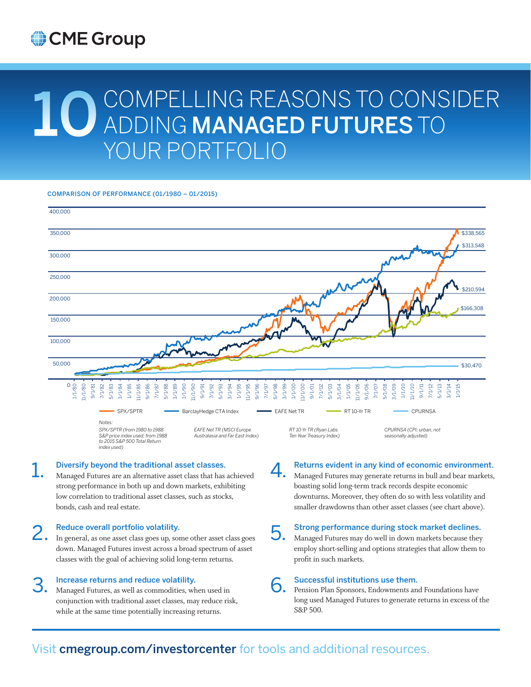# CME Group

# 10 COMPELLING REASONS TO CONSIDER ADDING MANAGED FUTURES TO YOUR PORTFOLIO

COMPARISON OF PERFORMANCE (01/1980 – 01/2015)



## 1. Diversify beyond the traditional asset classes.

Managed Futures are an alternative asset class that has achieved strong performance in both up and down markets, exhibiting low correlation to traditional asset classes, such as stocks, bonds, cash and real estate.

## 2. Reduce overall portfolio volatility.

*index used)*

In general, as one asset class goes up, some other asset class goes down. Managed Futures invest across a broad spectrum of asset classes with the goal of achieving solid long-term returns.

## Increase returns and reduce volatility.

3. Managed Futures, as well as commodities, when used in conjunction with traditional asset classes, may reduce risk, while at the same time potentially increasing returns.

4. Managed Futures may generate returns in bull and bear markets, boasting solid long-term track records despite economic

Returns evident in any kind of economic environment.

- downturns. Moreover, they often do so with less volatility and smaller drawdowns than other asset classes (see chart above).
- 5. Strong performance during stock market declines. Managed Futures may do well in down markets because they employ short-selling and options strategies that allow them to profit in such markets.

6. Successful institutions use them. Pension Plan Sponsors, Endowments and Foundations have long used Managed Futures to generate returns in excess of the S&P 500.

# Visit cmegroup.com/investorcenter for tools and additional resources.